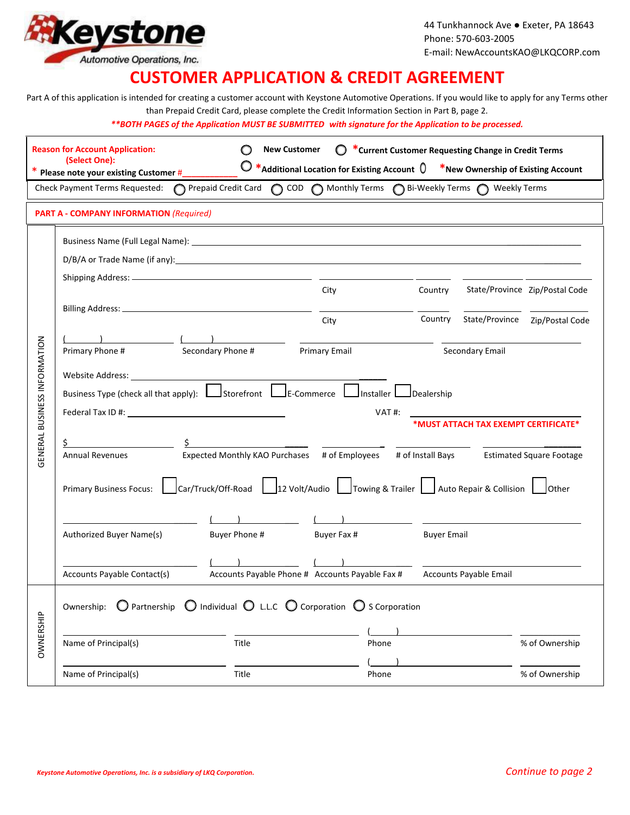

44 Tunkhannock Ave ● Exeter, PA 18643 Phone: 570-603-2005 E-mail: NewAccountsKAO@LKQCORP.com

## **CUSTOMER APPLICATION & CREDIT AGREEMENT**

Part A of this application is intended for creating a customer account with Keystone Automotive Operations. If you would like to apply for any Terms other than Prepaid Credit Card, please complete the Credit Information Section in Part B, page 2.

*\*\*BOTH PAGES of the Application MUST BE SUBMITTED with signature for the Application to be processed.*

|                              | <b>Reason for Account Application:</b><br>(Select One):<br>Please note your existing Customer #                                                                                                                                                                                                                                                                                                                                                                                                                      |               | <b>New Customer</b><br>$\mathbb{C}$<br>$\bigcirc *$ Additional Location for Existing Account $\emptyset$ *New Ownership of Existing Account |                    | *Current Customer Requesting Change in Credit Terms |                                |
|------------------------------|----------------------------------------------------------------------------------------------------------------------------------------------------------------------------------------------------------------------------------------------------------------------------------------------------------------------------------------------------------------------------------------------------------------------------------------------------------------------------------------------------------------------|---------------|---------------------------------------------------------------------------------------------------------------------------------------------|--------------------|-----------------------------------------------------|--------------------------------|
|                              | <b>Check Payment Terms Requested:</b>                                                                                                                                                                                                                                                                                                                                                                                                                                                                                |               | ○ Prepaid Credit Card ○ COD ○ Monthly Terms ○ Bi-Weekly Terms ○ Weekly Terms                                                                |                    |                                                     |                                |
|                              | <b>PART A - COMPANY INFORMATION (Required)</b>                                                                                                                                                                                                                                                                                                                                                                                                                                                                       |               | <u> 1980 - Johann Stoff, amerikansk politiker (* 1908)</u>                                                                                  |                    |                                                     |                                |
|                              |                                                                                                                                                                                                                                                                                                                                                                                                                                                                                                                      |               |                                                                                                                                             |                    |                                                     |                                |
|                              | D/B/A or Trade Name (if any): 100 minutes and the control of the control of the control of the control of the control of the control of the control of the control of the control of the control of the control of the control                                                                                                                                                                                                                                                                                       |               |                                                                                                                                             |                    |                                                     |                                |
|                              |                                                                                                                                                                                                                                                                                                                                                                                                                                                                                                                      |               | City                                                                                                                                        | Country            |                                                     | State/Province Zip/Postal Code |
|                              |                                                                                                                                                                                                                                                                                                                                                                                                                                                                                                                      |               | City                                                                                                                                        | Country            |                                                     | State/Province Zip/Postal Code |
| GENERAL BUSINESS INFORMATION | Secondary Phone #<br>Primary Email<br>Primary Phone #<br>Secondary Email<br>Website Address: __<br>Business Type (check all that apply): Lostorefront Luis-Commerce Luistaller Luise Dealership<br>VAT #:<br>*MUST ATTACH TAX EXEMPT CERTIFICATE*<br>\$<br>Expected Monthly KAO Purchases # of Employees # of Install Bays Estimated Square Footage<br><b>Annual Revenues</b><br>Car/Truck/Off-Road   12 Volt/Audio   Towing & Trailer   Auto Repair & Collision  <br><b>Primary Business Focus:</b><br><b>Other</b> |               |                                                                                                                                             |                    |                                                     |                                |
|                              | Authorized Buyer Name(s)                                                                                                                                                                                                                                                                                                                                                                                                                                                                                             | Buyer Phone # | Buyer Fax #                                                                                                                                 | <b>Buyer Email</b> |                                                     |                                |
|                              | Accounts Payable Contact(s)                                                                                                                                                                                                                                                                                                                                                                                                                                                                                          |               | Accounts Payable Phone # Accounts Payable Fax #                                                                                             |                    | Accounts Payable Email                              |                                |
|                              | $\bigcirc$ Partnership $\bigcirc$ Individual $\bigcirc$ L.L.C $\bigcirc$ Corporation $\bigcirc$ S Corporation<br>Ownership:                                                                                                                                                                                                                                                                                                                                                                                          |               |                                                                                                                                             |                    |                                                     |                                |
|                              |                                                                                                                                                                                                                                                                                                                                                                                                                                                                                                                      |               |                                                                                                                                             |                    |                                                     |                                |
| OWNERSHIP                    | Name of Principal(s)                                                                                                                                                                                                                                                                                                                                                                                                                                                                                                 | Title         | Phone                                                                                                                                       |                    |                                                     | % of Ownership                 |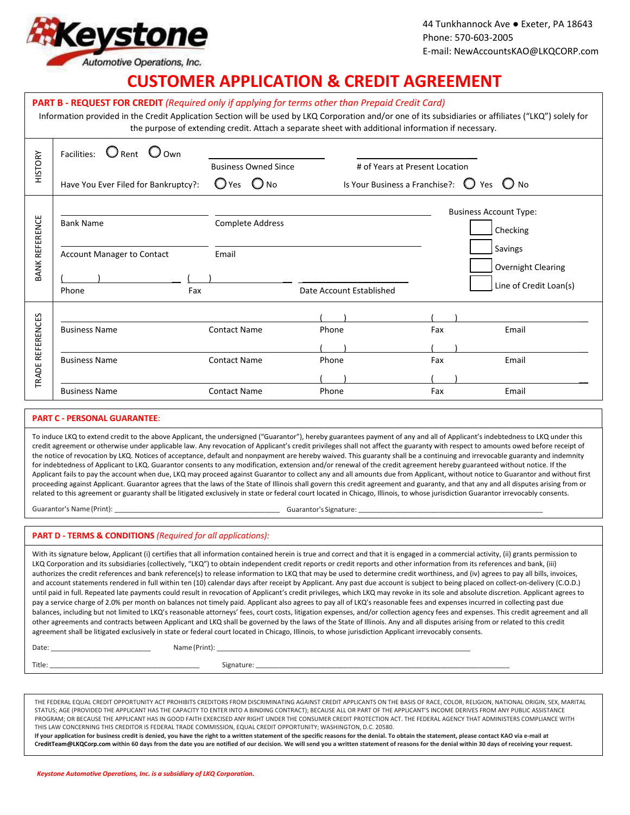

44 Tunkhannock Ave ● Exeter, PA 18643 Phone: 570-603-2005 E-mail: NewAccountsKAO@LKQCORP.com

## **CUSTOMER APPLICATION & CREDIT AGREEMENT**

| PART B - REQUEST FOR CREDIT (Required only if applying for terms other than Prepaid Credit Card)<br>Information provided in the Credit Application Section will be used by LKQ Corporation and/or one of its subsidiaries or affiliates ("LKQ") solely for<br>the purpose of extending credit. Attach a separate sheet with additional information if necessary.                                                                                                                                                                                                                                                                                                                                                                                                                                                                                                                                                                                                                                                                                                                                                                                                                                                                                                                                                                                                                                                                                                                                                                                                                                                                                                                                      |                                                                       |                                            |                                               |            |                                                                                                      |  |
|-------------------------------------------------------------------------------------------------------------------------------------------------------------------------------------------------------------------------------------------------------------------------------------------------------------------------------------------------------------------------------------------------------------------------------------------------------------------------------------------------------------------------------------------------------------------------------------------------------------------------------------------------------------------------------------------------------------------------------------------------------------------------------------------------------------------------------------------------------------------------------------------------------------------------------------------------------------------------------------------------------------------------------------------------------------------------------------------------------------------------------------------------------------------------------------------------------------------------------------------------------------------------------------------------------------------------------------------------------------------------------------------------------------------------------------------------------------------------------------------------------------------------------------------------------------------------------------------------------------------------------------------------------------------------------------------------------|-----------------------------------------------------------------------|--------------------------------------------|-----------------------------------------------|------------|------------------------------------------------------------------------------------------------------|--|
| <b>HISTORY</b>                                                                                                                                                                                                                                                                                                                                                                                                                                                                                                                                                                                                                                                                                                                                                                                                                                                                                                                                                                                                                                                                                                                                                                                                                                                                                                                                                                                                                                                                                                                                                                                                                                                                                        | Facilities: $\bigcirc$ Rent $\bigcirc$ Own                            | <b>Business Owned Since</b>                | # of Years at Present Location                |            |                                                                                                      |  |
|                                                                                                                                                                                                                                                                                                                                                                                                                                                                                                                                                                                                                                                                                                                                                                                                                                                                                                                                                                                                                                                                                                                                                                                                                                                                                                                                                                                                                                                                                                                                                                                                                                                                                                       | Have You Ever Filed for Bankruptcy?:                                  | $O$ Yes $O$ No                             | Is Your Business a Franchise?: $\bigcirc$ Yes |            | $\bigcirc$ No                                                                                        |  |
| <b>BANK REFERENCE</b>                                                                                                                                                                                                                                                                                                                                                                                                                                                                                                                                                                                                                                                                                                                                                                                                                                                                                                                                                                                                                                                                                                                                                                                                                                                                                                                                                                                                                                                                                                                                                                                                                                                                                 | <b>Bank Name</b><br><b>Account Manager to Contact</b><br>Fax<br>Phone | <b>Complete Address</b><br>Email           | Date Account Established                      |            | <b>Business Account Type:</b><br>Checking<br>Savings<br>Overnight Clearing<br>Line of Credit Loan(s) |  |
| TRADE REFERENCES                                                                                                                                                                                                                                                                                                                                                                                                                                                                                                                                                                                                                                                                                                                                                                                                                                                                                                                                                                                                                                                                                                                                                                                                                                                                                                                                                                                                                                                                                                                                                                                                                                                                                      | <b>Business Name</b>                                                  | <b>Contact Name</b>                        | Phone                                         | Fax        | Email                                                                                                |  |
|                                                                                                                                                                                                                                                                                                                                                                                                                                                                                                                                                                                                                                                                                                                                                                                                                                                                                                                                                                                                                                                                                                                                                                                                                                                                                                                                                                                                                                                                                                                                                                                                                                                                                                       | <b>Business Name</b><br><b>Business Name</b>                          | <b>Contact Name</b><br><b>Contact Name</b> | Phone<br>Phone                                | Fax<br>Fax | Email<br>Email                                                                                       |  |
|                                                                                                                                                                                                                                                                                                                                                                                                                                                                                                                                                                                                                                                                                                                                                                                                                                                                                                                                                                                                                                                                                                                                                                                                                                                                                                                                                                                                                                                                                                                                                                                                                                                                                                       | <b>PART C - PERSONAL GUARANTEE:</b>                                   |                                            |                                               |            |                                                                                                      |  |
| To induce LKQ to extend credit to the above Applicant, the undersigned ("Guarantor"), hereby guarantees payment of any and all of Applicant's indebtedness to LKQ under this<br>credit agreement or otherwise under applicable law. Any revocation of Applicant's credit privileges shall not affect the guaranty with respect to amounts owed before receipt of<br>the notice of revocation by LKQ. Notices of acceptance, default and nonpayment are hereby waived. This guaranty shall be a continuing and irrevocable guaranty and indemnity<br>for indebtedness of Applicant to LKQ. Guarantor consents to any modification, extension and/or renewal of the credit agreement hereby guaranteed without notice. If the<br>Applicant fails to pay the account when due, LKQ may proceed against Guarantor to collect any and all amounts due from Applicant, without notice to Guarantor and without first<br>proceeding against Applicant. Guarantor agrees that the laws of the State of Illinois shall govern this credit agreement and guaranty, and that any and all disputes arising from or<br>related to this agreement or guaranty shall be litigated exclusively in state or federal court located in Chicago, Illinois, to whose jurisdiction Guarantor irrevocably consents.                                                                                                                                                                                                                                                                                                                                                                                                          |                                                                       |                                            |                                               |            |                                                                                                      |  |
| <b>PART D - TERMS &amp; CONDITIONS</b> (Required for all applications):                                                                                                                                                                                                                                                                                                                                                                                                                                                                                                                                                                                                                                                                                                                                                                                                                                                                                                                                                                                                                                                                                                                                                                                                                                                                                                                                                                                                                                                                                                                                                                                                                               |                                                                       |                                            |                                               |            |                                                                                                      |  |
| With its signature below, Applicant (i) certifies that all information contained herein is true and correct and that it is engaged in a commercial activity, (ii) grants permission to<br>LKQ Corporation and its subsidiaries (collectively, "LKQ") to obtain independent credit reports or credit reports and other information from its references and bank, (iii)<br>authorizes the credit references and bank reference(s) to release information to LKQ that may be used to determine credit worthiness, and (iv) agrees to pay all bills, invoices,<br>and account statements rendered in full within ten (10) calendar days after receipt by Applicant. Any past due account is subject to being placed on collect-on-delivery (C.O.D.)<br>until paid in full. Repeated late payments could result in revocation of Applicant's credit privileges, which LKQ may revoke in its sole and absolute discretion. Applicant agrees to<br>pay a service charge of 2.0% per month on balances not timely paid. Applicant also agrees to pay all of LKQ's reasonable fees and expenses incurred in collecting past due<br>balances, including but not limited to LKQ's reasonable attorneys' fees, court costs, litigation expenses, and/or collection agency fees and expenses. This credit agreement and all<br>other agreements and contracts between Applicant and LKQ shall be governed by the laws of the State of Illinois. Any and all disputes arising from or related to this credit<br>agreement shall be litigated exclusively in state or federal court located in Chicago, Illinois, to whose jurisdiction Applicant irrevocably consents.<br>Date: ___________________________________ |                                                                       |                                            |                                               |            |                                                                                                      |  |
|                                                                                                                                                                                                                                                                                                                                                                                                                                                                                                                                                                                                                                                                                                                                                                                                                                                                                                                                                                                                                                                                                                                                                                                                                                                                                                                                                                                                                                                                                                                                                                                                                                                                                                       |                                                                       |                                            |                                               |            |                                                                                                      |  |
|                                                                                                                                                                                                                                                                                                                                                                                                                                                                                                                                                                                                                                                                                                                                                                                                                                                                                                                                                                                                                                                                                                                                                                                                                                                                                                                                                                                                                                                                                                                                                                                                                                                                                                       |                                                                       |                                            |                                               |            |                                                                                                      |  |

THE FEDERAL EQUAL CREDIT OPPORTUNITY ACT PROHIBITS CREDITORS FROM DISCRIMINATING AGAINST CREDIT APPLICANTS ON THE BASIS OF RACE, COLOR, RELIGION, NATIONAL ORIGIN, SEX, MARITAL STATUS; AGE (PROVIDED THE APPLICANT HAS THE CAPACITY TO ENTER INTO A BINDING CONTRACT); BECAUSE ALL OR PART OF THE APPLICANT'S INCOME DERIVES FROM ANY PUBLIC ASSISTANCE PROGRAM; OR BECAUSE THE APPLICANT HAS IN GOOD FAITH EXERCISED ANY RIGHT UNDER THE CONSUMER CREDIT PROTECTION ACT. THE FEDERAL AGENCY THAT ADMINISTERS COMPLIANCE WITH THIS LAW CONCERNING THIS CREDITOR IS FEDERAL TRADE COMMISSION, EQUAL CREDIT OPPORTUNITY; WASHINGTON, D.C. 20580.

**If your application for business credit is denied, you have the right to a written statement of the specific reasons for the denial. To obtain the statement, please contact KAO via e-mail at [CreditTeam@LKQCorp.com](mailto:CreditTeam@LKQCorp.com) within 60 days from the date you are notified of our decision. We will send you a written statement of reasons for the denial within 30 days of receiving your request.**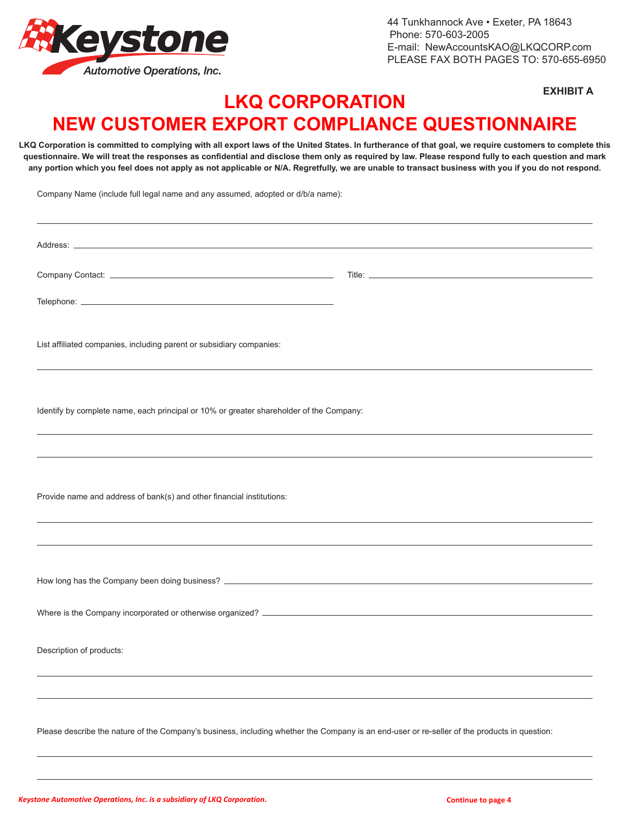

44 Tunkhannock Ave • Exeter, PA 18643 Phone: 570-603-2005 E-mail: NewAccountsKAO@LKQCORP.com PLEASE FAX BOTH PAGES TO: 570-655-6950

**EXHIBIT A**

## **LKQ CORPORATION NEW CUSTOMER EXPORT COMPLIANCE QUESTIONNAIRE**

**LKQ Corporation is committed to complying with all export laws of the United States. In furtherance of that goal, we require customers to complete this questionnaire. We will treat the responses as confidential and disclose them only as required by law. Please respond fully to each question and mark any portion which you feel does not apply as not applicable or N/A. Regretfully, we are unable to transact business with you if you do not respond.** 

Company Name (include full legal name and any assumed, adopted or d/b/a name):

| List affiliated companies, including parent or subsidiary companies:                                                                         |  |
|----------------------------------------------------------------------------------------------------------------------------------------------|--|
|                                                                                                                                              |  |
| Identify by complete name, each principal or 10% or greater shareholder of the Company:                                                      |  |
|                                                                                                                                              |  |
|                                                                                                                                              |  |
| Provide name and address of bank(s) and other financial institutions:                                                                        |  |
|                                                                                                                                              |  |
|                                                                                                                                              |  |
|                                                                                                                                              |  |
|                                                                                                                                              |  |
| Description of products:                                                                                                                     |  |
|                                                                                                                                              |  |
| Please describe the nature of the Company's business, including whether the Company is an end-user or re-seller of the products in question: |  |